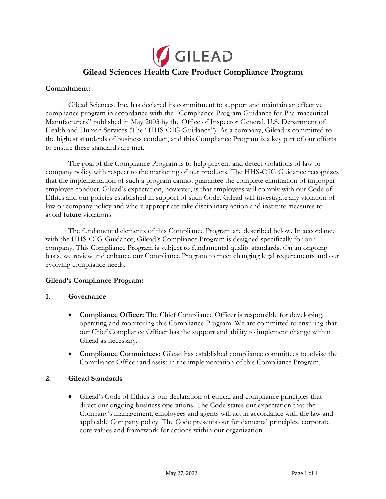

#### **Commitment:**

Gilead Sciences, Inc. has declared its commitment to support and maintain an effective compliance program in accordance with the "Compliance Program Guidance for Pharmaceutical Manufacturers" published in May 2003 by the Office of Inspector General, U.S. Department of Health and Human Services (The "HHS-OIG Guidance"). As a company, Gilead is committed to the highest standards of business conduct, and this Compliance Program is a key part of our efforts to ensure these standards are met.

The goal of the Compliance Program is to help prevent and detect violations of law or company policy with respect to the marketing of our products. The HHS-OIG Guidance recognizes that the implementation of such a program cannot guarantee the complete elimination of improper employee conduct. Gilead's expectation, however, is that employees will comply with our Code of Ethics and our policies established in support of such Code. Gilead will investigate any violation of law or company policy and where appropriate take disciplinary action and institute measures to avoid future violations.

The fundamental elements of this Compliance Program are described below. In accordance with the HHS-OIG Guidance, Gilead's Compliance Program is designed specifically for our company. This Compliance Program is subject to fundamental quality standards. On an ongoing basis, we review and enhance our Compliance Program to meet changing legal requirements and our evolving compliance needs.

#### **Gilead's Compliance Program:**

#### **1. Governance**

- **Compliance Officer:** The Chief Compliance Officer is responsible for developing, operating and monitoring this Compliance Program. We are committed to ensuring that our Chief Compliance Officer has the support and ability to implement change within Gilead as necessary.
- **Compliance Committees:** Gilead has established compliance committees to advise the Compliance Officer and assist in the implementation of this Compliance Program.

#### **2. Gilead Standards**

• Gilead's Code of Ethics is our declaration of ethical and compliance principles that direct our ongoing business operations. The Code states our expectation that the Company's management, employees and agents will act in accordance with the law and applicable Company policy. The Code presents our fundamental principles, corporate core values and framework for actions within our organization.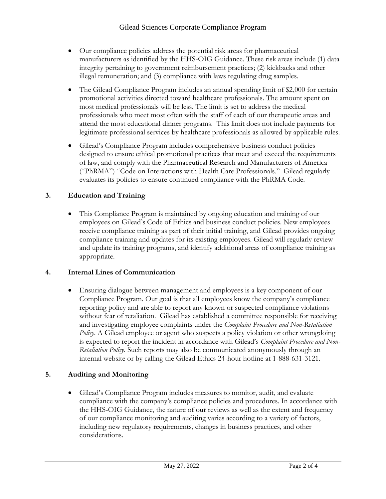- Our compliance policies address the potential risk areas for pharmaceutical manufacturers as identified by the HHS-OIG Guidance. These risk areas include (1) data integrity pertaining to government reimbursement practices; (2) kickbacks and other illegal remuneration; and (3) compliance with laws regulating drug samples.
- The Gilead Compliance Program includes an annual spending limit of \$2,000 for certain promotional activities directed toward healthcare professionals. The amount spent on most medical professionals will be less. The limit is set to address the medical professionals who meet most often with the staff of each of our therapeutic areas and attend the most educational dinner programs. This limit does not include payments for legitimate professional services by healthcare professionals as allowed by applicable rules.
- Gilead's Compliance Program includes comprehensive business conduct policies designed to ensure ethical promotional practices that meet and exceed the requirements of law, and comply with the Pharmaceutical Research and Manufacturers of America ("PhRMA") "Code on Interactions with Health Care Professionals." Gilead regularly evaluates its policies to ensure continued compliance with the PhRMA Code.

## **3. Education and Training**

• This Compliance Program is maintained by ongoing education and training of our employees on Gilead's Code of Ethics and business conduct policies. New employees receive compliance training as part of their initial training, and Gilead provides ongoing compliance training and updates for its existing employees. Gilead will regularly review and update its training programs, and identify additional areas of compliance training as appropriate.

#### **4. Internal Lines of Communication**

• Ensuring dialogue between management and employees is a key component of our Compliance Program. Our goal is that all employees know the company's compliance reporting policy and are able to report any known or suspected compliance violations without fear of retaliation. Gilead has established a committee responsible for receiving and investigating employee complaints under the *Complaint Procedure and Non-Retaliation Policy*. A Gilead employee or agent who suspects a policy violation or other wrongdoing is expected to report the incident in accordance with Gilead's *Complaint Procedure and Non-Retaliation Policy*. Such reports may also be communicated anonymously through an internal website or by calling the Gilead Ethics 24-hour hotline at 1-888-631-3121.

## **5. Auditing and Monitoring**

• Gilead's Compliance Program includes measures to monitor, audit, and evaluate compliance with the company's compliance policies and procedures. In accordance with the HHS-OIG Guidance, the nature of our reviews as well as the extent and frequency of our compliance monitoring and auditing varies according to a variety of factors, including new regulatory requirements, changes in business practices, and other considerations.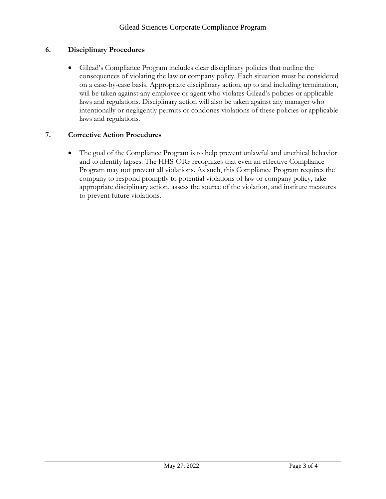### **6. Disciplinary Procedures**

• Gilead's Compliance Program includes clear disciplinary policies that outline the consequences of violating the law or company policy. Each situation must be considered on a case-by-case basis. Appropriate disciplinary action, up to and including termination, will be taken against any employee or agent who violates Gilead's policies or applicable laws and regulations. Disciplinary action will also be taken against any manager who intentionally or negligently permits or condones violations of these policies or applicable laws and regulations.

#### **7. Corrective Action Procedures**

• The goal of the Compliance Program is to help prevent unlawful and unethical behavior and to identify lapses. The HHS-OIG recognizes that even an effective Compliance Program may not prevent all violations. As such, this Compliance Program requires the company to respond promptly to potential violations of law or company policy, take appropriate disciplinary action, assess the source of the violation, and institute measures to prevent future violations.